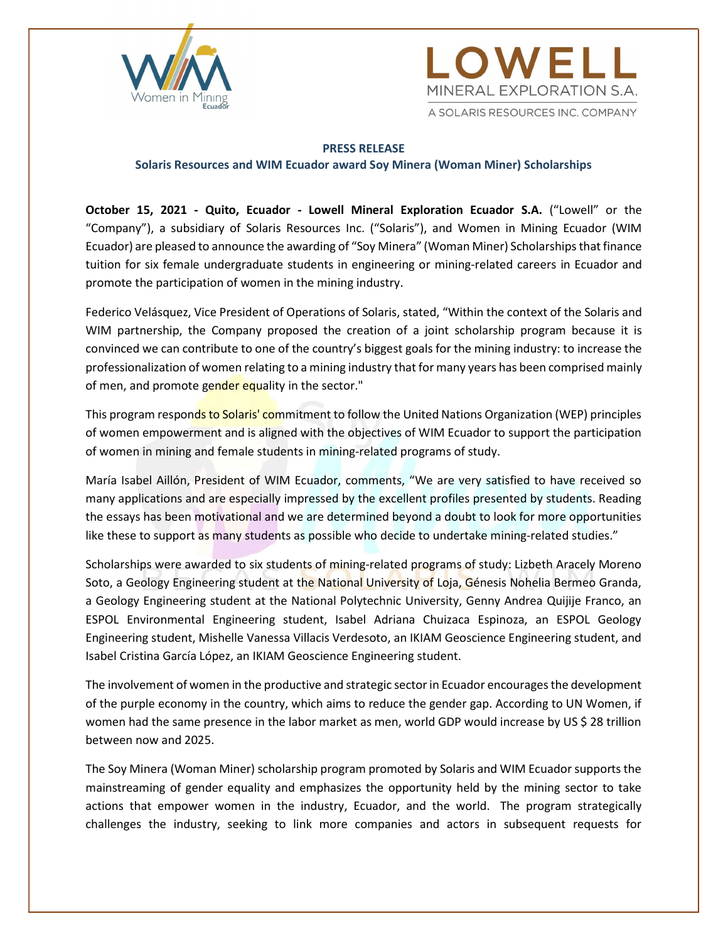



#### PRESS RELEASE

#### Solaris Resources and WIM Ecuador award Soy Minera (Woman Miner) Scholarships

October 15, 2021 - Quito, Ecuador - Lowell Mineral Exploration Ecuador S.A. ("Lowell" or the "Company"), a subsidiary of Solaris Resources Inc. ("Solaris"), and Women in Mining Ecuador (WIM Ecuador) are pleased to announce the awarding of "Soy Minera" (Woman Miner) Scholarships that finance tuition for six female undergraduate students in engineering or mining-related careers in Ecuador and promote the participation of women in the mining industry.

Federico Velásquez, Vice President of Operations of Solaris, stated, "Within the context of the Solaris and WIM partnership, the Company proposed the creation of a joint scholarship program because it is convinced we can contribute to one of the country's biggest goals for the mining industry: to increase the professionalization of women relating to a mining industry that for many years has been comprised mainly of men, and promote gender equality in the sector."

This program responds to Solaris' commitment to follow the United Nations Organization (WEP) principles of women empowerment and is aligned with the objectives of WIM Ecuador to support the participation of women in mining and female students in mining-related programs of study.

María Isabel Aillón, President of WIM Ecuador, comments, "We are very satisfied to have received so many applications and are especially impressed by the excellent profiles presented by students. Reading the essays has been motivational and we are determined beyond a doubt to look for more opportunities like these to support as many students as possible who decide to undertake mining-related studies."

Scholarships were awarded to six students of mining-related programs of study: Lizbeth Aracely Moreno Soto, a Geology Engineering student at the National University of Loja, Génesis Nohelia Bermeo Granda, a Geology Engineering student at the National Polytechnic University, Genny Andrea Quijije Franco, an ESPOL Environmental Engineering student, Isabel Adriana Chuizaca Espinoza, an ESPOL Geology Engineering student, Mishelle Vanessa Villacis Verdesoto, an IKIAM Geoscience Engineering student, and Isabel Cristina García López, an IKIAM Geoscience Engineering student.

The involvement of women in the productive and strategic sector in Ecuador encourages the development of the purple economy in the country, which aims to reduce the gender gap. According to UN Women, if women had the same presence in the labor market as men, world GDP would increase by US \$ 28 trillion between now and 2025.

The Soy Minera (Woman Miner) scholarship program promoted by Solaris and WIM Ecuador supports the mainstreaming of gender equality and emphasizes the opportunity held by the mining sector to take actions that empower women in the industry, Ecuador, and the world. The program strategically challenges the industry, seeking to link more companies and actors in subsequent requests for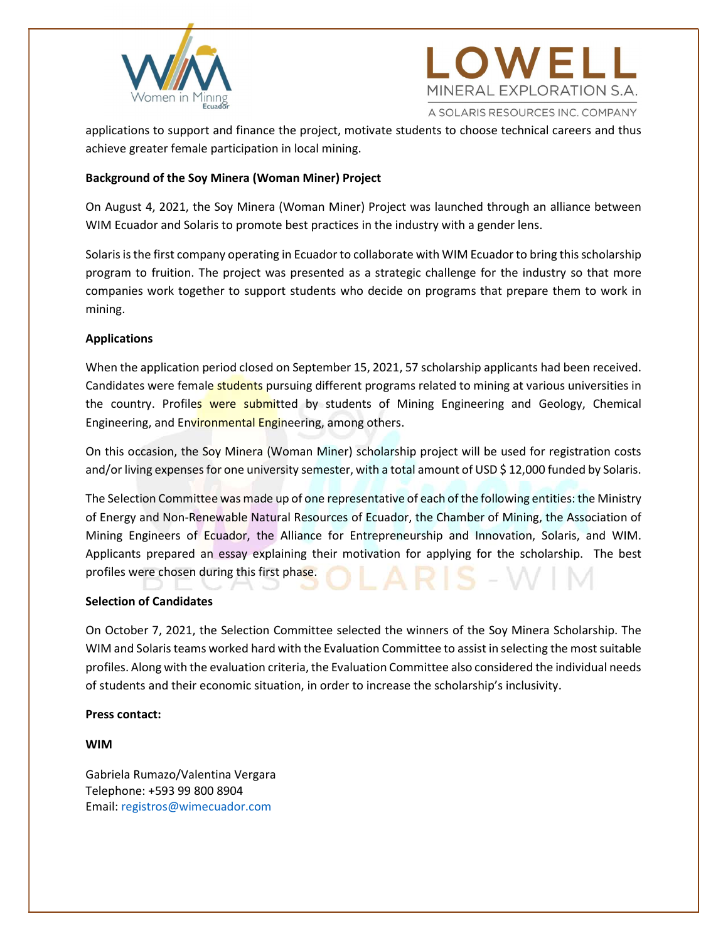



applications to support and finance the project, motivate students to choose technical careers and thus achieve greater female participation in local mining.

# Background of the Soy Minera (Woman Miner) Project

On August 4, 2021, the Soy Minera (Woman Miner) Project was launched through an alliance between WIM Ecuador and Solaris to promote best practices in the industry with a gender lens.

Solaris is the first company operating in Ecuador to collaborate with WIM Ecuador to bring this scholarship program to fruition. The project was presented as a strategic challenge for the industry so that more companies work together to support students who decide on programs that prepare them to work in mining.

## Applications

When the application period closed on September 15, 2021, 57 scholarship applicants had been received. Candidates were female students pursuing different programs related to mining at various universities in the country. Profiles were submitted by students of Mining Engineering and Geology, Chemical Engineering, and Environmental Engineering, among others.

On this occasion, the Soy Minera (Woman Miner) scholarship project will be used for registration costs and/or living expenses for one university semester, with a total amount of USD \$12,000 funded by Solaris.

The Selection Committee was made up of one representative of each of the following entities: the Ministry of Energy and Non-Renewable Natural Resources of Ecuador, the Chamber of Mining, the Association of Mining Engineers of Ecuador, the Alliance for Entrepreneurship and Innovation, Solaris, and WIM. Applicants prepared an essay explaining their motivation for applying for the scholarship. The best profiles were chosen during this first phase.

## Selection of Candidates

On October 7, 2021, the Selection Committee selected the winners of the Soy Minera Scholarship. The WIM and Solaris teams worked hard with the Evaluation Committee to assist in selecting the most suitable profiles. Along with the evaluation criteria, the Evaluation Committee also considered the individual needs of students and their economic situation, in order to increase the scholarship's inclusivity.

## Press contact:

WIM

Gabriela Rumazo/Valentina Vergara Telephone: +593 99 800 8904 Email: registros@wimecuador.com